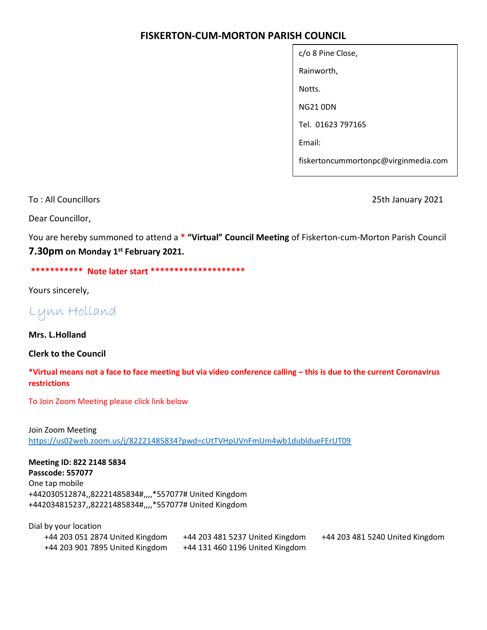## FISKERTON-CUM-MORTON PARISH COUNCIL

| c/o 8 Pine Close,                    |  |  |  |
|--------------------------------------|--|--|--|
| Rainworth,                           |  |  |  |
| Notts.                               |  |  |  |
| NG21 0DN                             |  |  |  |
| Tel. 01623 797165                    |  |  |  |
| Email:                               |  |  |  |
| fiskertoncummortonpc@virginmedia.com |  |  |  |

To : All Councillors 25th January 2021

Dear Councillor,

You are hereby summoned to attend a \* "Virtual" Council Meeting of Fiskerton-cum-Morton Parish Council 7.30pm on Monday 1<sup>st</sup> February 2021.

\*\*\*\*\*\*\*\*\*\*\* Note later start \*\*\*\*\*\*\*\*\*\*\*\*\*\*\*\*\*\*\*\*\*

Yours sincerely,

Lynn Holland

Mrs. L.Holland

Clerk to the Council

\*Virtual means not a face to face meeting but via video conference calling – this is due to the current Coronavirus restrictions

To Join Zoom Meeting please click link below

Join Zoom Meeting https://us02web.zoom.us/j/82221485834?pwd=cUtTVHpUVnFmUm4wb1dubldueFErUT09

Meeting ID: 822 2148 5834 Passcode: 557077 One tap mobile +442030512874,,82221485834#,,,,\*557077# United Kingdom +442034815237,,82221485834#,,,,\*557077# United Kingdom

Dial by your location +44 203 051 2874 United Kingdom +44 203 481 5237 United Kingdom +44 203 481 5240 United Kingdom +44 203 901 7895 United Kingdom +44 131 460 1196 United Kingdom